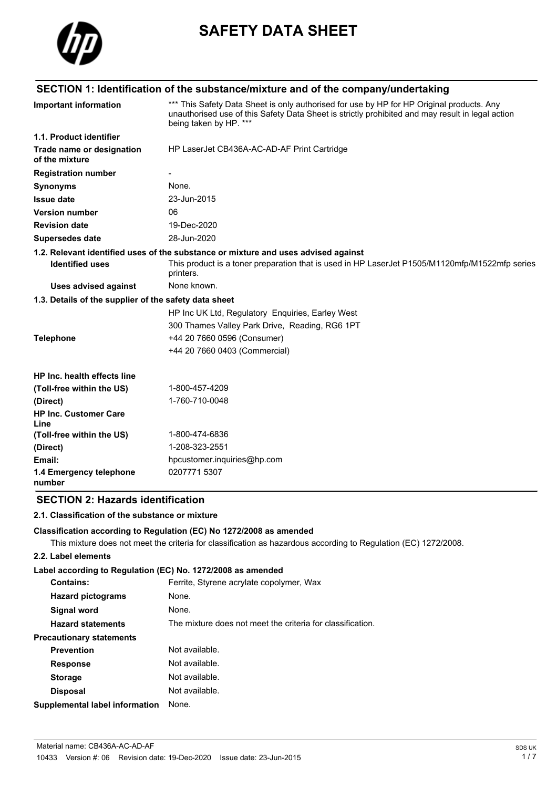

# **SAFETY DATA SHEET**

# **SECTION 1: Identification of the substance/mixture and of the company/undertaking**

| <b>Important information</b>                          | *** This Safety Data Sheet is only authorised for use by HP for HP Original products. Any<br>unauthorised use of this Safety Data Sheet is strictly prohibited and may result in legal action<br>being taken by HP. *** |
|-------------------------------------------------------|-------------------------------------------------------------------------------------------------------------------------------------------------------------------------------------------------------------------------|
| 1.1. Product identifier                               |                                                                                                                                                                                                                         |
| Trade name or designation<br>of the mixture           | HP LaserJet CB436A-AC-AD-AF Print Cartridge                                                                                                                                                                             |
| <b>Registration number</b>                            |                                                                                                                                                                                                                         |
| <b>Synonyms</b>                                       | None.                                                                                                                                                                                                                   |
| <b>Issue date</b>                                     | 23-Jun-2015                                                                                                                                                                                                             |
| <b>Version number</b>                                 | 06                                                                                                                                                                                                                      |
| <b>Revision date</b>                                  | 19-Dec-2020                                                                                                                                                                                                             |
| Supersedes date                                       | 28-Jun-2020                                                                                                                                                                                                             |
|                                                       | 1.2. Relevant identified uses of the substance or mixture and uses advised against                                                                                                                                      |
| <b>Identified uses</b>                                | This product is a toner preparation that is used in HP LaserJet P1505/M1120mfp/M1522mfp series<br>printers.                                                                                                             |
| <b>Uses advised against</b>                           | None known.                                                                                                                                                                                                             |
| 1.3. Details of the supplier of the safety data sheet |                                                                                                                                                                                                                         |
|                                                       | HP Inc UK Ltd, Regulatory Enquiries, Earley West                                                                                                                                                                        |
|                                                       | 300 Thames Valley Park Drive, Reading, RG6 1PT                                                                                                                                                                          |
| <b>Telephone</b>                                      | +44 20 7660 0596 (Consumer)                                                                                                                                                                                             |
|                                                       | +44 20 7660 0403 (Commercial)                                                                                                                                                                                           |
| HP Inc. health effects line                           |                                                                                                                                                                                                                         |
| (Toll-free within the US)                             | 1-800-457-4209                                                                                                                                                                                                          |
| (Direct)                                              | 1-760-710-0048                                                                                                                                                                                                          |
| <b>HP Inc. Customer Care</b><br>Line                  |                                                                                                                                                                                                                         |
| (Toll-free within the US)                             | 1-800-474-6836                                                                                                                                                                                                          |
| (Direct)                                              | 1-208-323-2551                                                                                                                                                                                                          |
| Email:                                                | hpcustomer.inquiries@hp.com                                                                                                                                                                                             |
| 1.4 Emergency telephone<br>number                     | 0207771 5307                                                                                                                                                                                                            |

# **SECTION 2: Hazards identification**

#### **2.1. Classification of the substance or mixture**

#### **Classification according to Regulation (EC) No 1272/2008 as amended**

This mixture does not meet the criteria for classification as hazardous according to Regulation (EC) 1272/2008.

#### **2.2. Label elements**

#### **Label according to Regulation (EC) No. 1272/2008 as amended**

| <b>Contains:</b>                | Ferrite, Styrene acrylate copolymer, Wax                   |
|---------------------------------|------------------------------------------------------------|
| <b>Hazard pictograms</b>        | None.                                                      |
| Signal word                     | None.                                                      |
| <b>Hazard statements</b>        | The mixture does not meet the criteria for classification. |
| <b>Precautionary statements</b> |                                                            |
| <b>Prevention</b>               | Not available.                                             |
| <b>Response</b>                 | Not available.                                             |
| <b>Storage</b>                  | Not available.                                             |
| <b>Disposal</b>                 | Not available.                                             |
| Supplemental label information  | None.                                                      |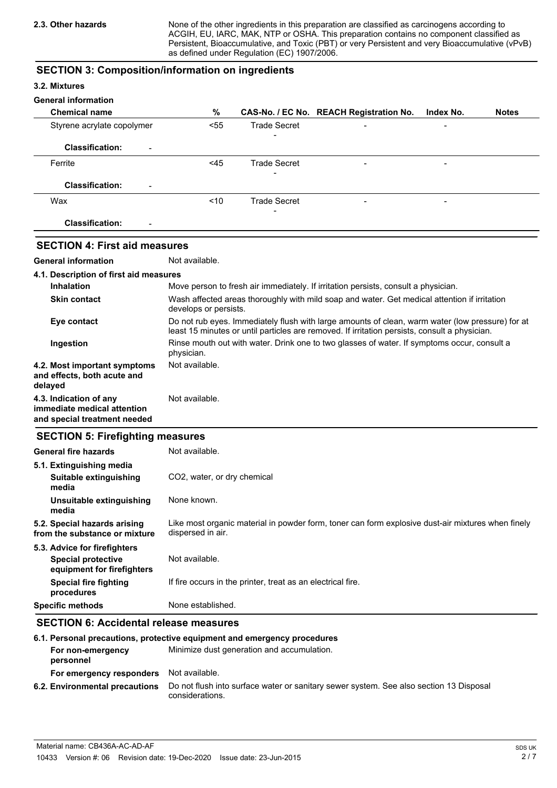None of the other ingredients in this preparation are classified as carcinogens according to ACGIH, EU, IARC, MAK, NTP or OSHA. This preparation contains no component classified as Persistent, Bioaccumulative, and Toxic (PBT) or very Persistent and very Bioaccumulative (vPvB) as defined under Regulation (EC) 1907/2006.

### **SECTION 3: Composition/information on ingredients**

#### **3.2. Mixtures**

#### **General information**

| <b>Chemical name</b>                               | %    |                          | CAS-No. / EC No. REACH Registration No. | Index No.                | <b>Notes</b> |
|----------------------------------------------------|------|--------------------------|-----------------------------------------|--------------------------|--------------|
| Styrene acrylate copolymer                         | < 55 | <b>Trade Secret</b>      | $\overline{\phantom{0}}$                | $\blacksquare$           |              |
| <b>Classification:</b><br>$\blacksquare$           |      | $\qquad \qquad$          |                                         |                          |              |
| Ferrite                                            | <45  | <b>Trade Secret</b>      | $\overline{\phantom{0}}$                | -                        |              |
| <b>Classification:</b><br>$\overline{\phantom{a}}$ |      | $\overline{\phantom{0}}$ |                                         |                          |              |
| Wax                                                | < 10 | <b>Trade Secret</b>      | $\overline{\phantom{0}}$                | $\overline{\phantom{a}}$ |              |
| <b>Classification:</b><br>$\blacksquare$           |      | $\qquad \qquad$          |                                         |                          |              |

# **SECTION 4: First aid measures**

**General information** Not available.

| 4.1. Description of first aid measures                                 |                                                                                                                                                                                                   |
|------------------------------------------------------------------------|---------------------------------------------------------------------------------------------------------------------------------------------------------------------------------------------------|
| <b>Inhalation</b>                                                      | Move person to fresh air immediately. If irritation persists, consult a physician.                                                                                                                |
| <b>Skin contact</b>                                                    | Wash affected areas thoroughly with mild soap and water. Get medical attention if irritation<br>develops or persists.                                                                             |
| Eye contact                                                            | Do not rub eyes. Immediately flush with large amounts of clean, warm water (low pressure) for at<br>least 15 minutes or until particles are removed. If irritation persists, consult a physician. |
| Ingestion                                                              | Rinse mouth out with water. Drink one to two glasses of water. If symptoms occur, consult a<br>physician.                                                                                         |
| 4.2. Most important symptoms<br>and effects, both acute and<br>delayed | Not available.                                                                                                                                                                                    |
| 4.3. Indication of any<br>immediate medical attention                  | Not available.                                                                                                                                                                                    |

# **SECTION 5: Firefighting measures**

**and special treatment needed**

| <b>SECTION 3. FIRELIGITING INCORPORT</b>                      |                                                                                                                        |
|---------------------------------------------------------------|------------------------------------------------------------------------------------------------------------------------|
| General fire hazards                                          | Not available.                                                                                                         |
| 5.1. Extinguishing media                                      |                                                                                                                        |
| Suitable extinguishing<br>media                               | CO <sub>2</sub> , water, or dry chemical                                                                               |
| Unsuitable extinguishing<br>media                             | None known.                                                                                                            |
| 5.2. Special hazards arising<br>from the substance or mixture | Like most organic material in powder form, toner can form explosive dust-air mixtures when finely<br>dispersed in air. |
| 5.3. Advice for firefighters                                  |                                                                                                                        |
| <b>Special protective</b><br>equipment for firefighters       | Not available.                                                                                                         |
| <b>Special fire fighting</b><br>procedures                    | If fire occurs in the printer, treat as an electrical fire.                                                            |
| <b>Specific methods</b>                                       | None established.                                                                                                      |

# **SECTION 6: Accidental release measures**

|                                | 6.1. Personal precautions, protective equipment and emergency procedures                                  |
|--------------------------------|-----------------------------------------------------------------------------------------------------------|
| For non-emergency<br>personnel | Minimize dust generation and accumulation.                                                                |
| For emergency responders       | Not available.                                                                                            |
| 6.2. Environmental precautions | Do not flush into surface water or sanitary sewer system. See also section 13 Disposal<br>considerations. |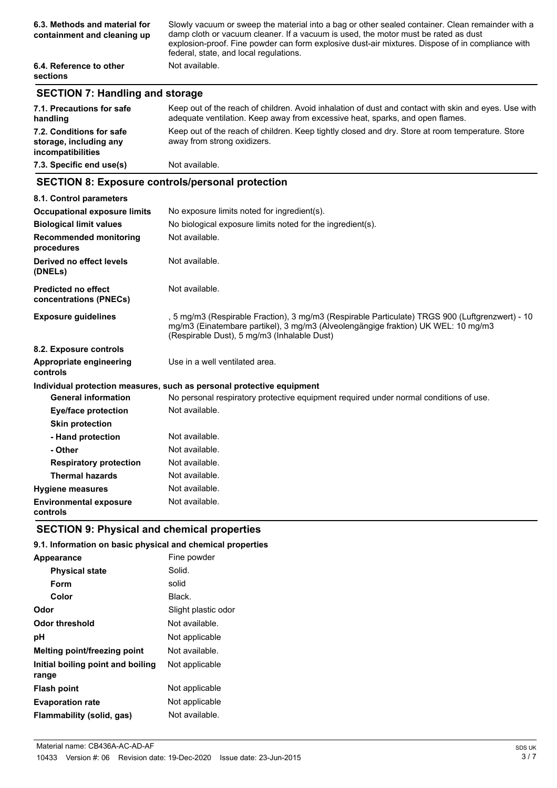| 6.3. Methods and material for<br>containment and cleaning up | Slowly vacuum or sweep the material into a bag or other sealed container. Clean remainder with a<br>damp cloth or vacuum cleaner. If a vacuum is used, the motor must be rated as dust<br>explosion-proof. Fine powder can form explosive dust-air mixtures. Dispose of in compliance with<br>federal, state, and local regulations. |
|--------------------------------------------------------------|--------------------------------------------------------------------------------------------------------------------------------------------------------------------------------------------------------------------------------------------------------------------------------------------------------------------------------------|
| 6.4. Reference to other<br><b>sections</b>                   | Not available.                                                                                                                                                                                                                                                                                                                       |

# **SECTION 7: Handling and storage**

| 7.1. Precautions for safe<br>handling                                   | Keep out of the reach of children. Avoid inhalation of dust and contact with skin and eyes. Use with<br>adequate ventilation. Keep away from excessive heat, sparks, and open flames. |
|-------------------------------------------------------------------------|---------------------------------------------------------------------------------------------------------------------------------------------------------------------------------------|
| 7.2. Conditions for safe<br>storage, including any<br>incompatibilities | Keep out of the reach of children. Keep tightly closed and dry. Store at room temperature. Store<br>away from strong oxidizers.                                                       |
| 7.3. Specific end use(s)                                                | Not available.                                                                                                                                                                        |

## **SECTION 8: Exposure controls/personal protection**

| 8.1. Control parameters                              |                                                                                                                                                                                                                                     |  |
|------------------------------------------------------|-------------------------------------------------------------------------------------------------------------------------------------------------------------------------------------------------------------------------------------|--|
| <b>Occupational exposure limits</b>                  | No exposure limits noted for ingredient(s).                                                                                                                                                                                         |  |
| <b>Biological limit values</b>                       | No biological exposure limits noted for the ingredient(s).                                                                                                                                                                          |  |
| <b>Recommended monitoring</b><br>procedures          | Not available.                                                                                                                                                                                                                      |  |
| Derived no effect levels<br>(DNELs)                  | Not available.                                                                                                                                                                                                                      |  |
| <b>Predicted no effect</b><br>concentrations (PNECs) | Not available.                                                                                                                                                                                                                      |  |
| <b>Exposure guidelines</b>                           | , 5 mg/m3 (Respirable Fraction), 3 mg/m3 (Respirable Particulate) TRGS 900 (Luftgrenzwert) - 10<br>mg/m3 (Einatembare partikel), 3 mg/m3 (Alveolengängige fraktion) UK WEL: 10 mg/m3<br>(Respirable Dust), 5 mg/m3 (Inhalable Dust) |  |
| 8.2. Exposure controls                               |                                                                                                                                                                                                                                     |  |
| <b>Appropriate engineering</b><br>controls           | Use in a well ventilated area.                                                                                                                                                                                                      |  |
|                                                      | Individual protection measures, such as personal protective equipment                                                                                                                                                               |  |
| <b>General information</b>                           | No personal respiratory protective equipment required under normal conditions of use.                                                                                                                                               |  |
| Eye/face protection                                  | Not available.                                                                                                                                                                                                                      |  |
| <b>Skin protection</b>                               |                                                                                                                                                                                                                                     |  |
| - Hand protection                                    | Not available.                                                                                                                                                                                                                      |  |
| - Other                                              | Not available.                                                                                                                                                                                                                      |  |
| <b>Respiratory protection</b>                        | Not available.                                                                                                                                                                                                                      |  |
| <b>Thermal hazards</b>                               | Not available.                                                                                                                                                                                                                      |  |
| <b>Hygiene measures</b>                              | Not available.                                                                                                                                                                                                                      |  |
| <b>Environmental exposure</b><br>controls            | Not available.                                                                                                                                                                                                                      |  |

# **SECTION 9: Physical and chemical properties**

## **9.1. Information on basic physical and chemical properties**

| Appearance                                 | Fine powder         |
|--------------------------------------------|---------------------|
| <b>Physical state</b>                      | Solid.              |
| Form                                       | solid               |
| Color                                      | Black.              |
| Odor                                       | Slight plastic odor |
| Odor threshold                             | Not available.      |
| рH                                         | Not applicable      |
| <b>Melting point/freezing point</b>        | Not available.      |
| Initial boiling point and boiling<br>range | Not applicable      |
| <b>Flash point</b>                         | Not applicable      |
| <b>Evaporation rate</b>                    | Not applicable      |
| Flammability (solid, gas)                  | Not available.      |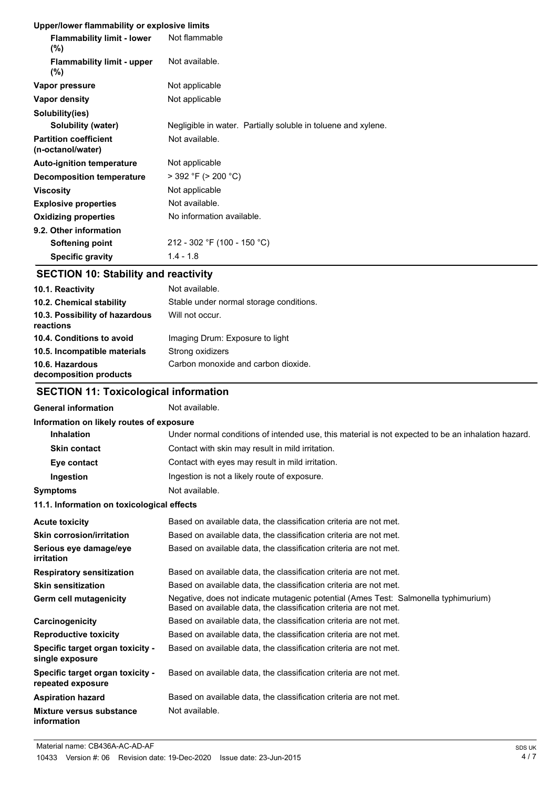#### **Upper/lower flammability or explosive limits**

| <b>ODDENTOWER HANDROMITY OF EXPIOSIVE INITIES</b> |                                                               |
|---------------------------------------------------|---------------------------------------------------------------|
| <b>Flammability limit - lower</b><br>$(\%)$       | Not flammable                                                 |
| <b>Flammability limit - upper</b><br>$(\%)$       | Not available.                                                |
| Vapor pressure                                    | Not applicable                                                |
| Vapor density                                     | Not applicable                                                |
| Solubility(ies)                                   |                                                               |
| Solubility (water)                                | Negligible in water. Partially soluble in toluene and xylene. |
| <b>Partition coefficient</b><br>(n-octanol/water) | Not available.                                                |
| <b>Auto-ignition temperature</b>                  | Not applicable                                                |
| Decomposition temperature                         | $>$ 392 °F ( $>$ 200 °C)                                      |
| <b>Viscosity</b>                                  | Not applicable                                                |
| <b>Explosive properties</b>                       | Not available.                                                |
| <b>Oxidizing properties</b>                       | No information available.                                     |
| 9.2. Other information                            |                                                               |
| Softening point                                   | 212 - 302 °F (100 - 150 °C)                                   |
| <b>Specific gravity</b>                           | $1.4 - 1.8$                                                   |

# **SECTION 10: Stability and reactivity**

| 10.1. Reactivity                            | Not available.                          |
|---------------------------------------------|-----------------------------------------|
| 10.2. Chemical stability                    | Stable under normal storage conditions. |
| 10.3. Possibility of hazardous<br>reactions | Will not occur.                         |
| 10.4. Conditions to avoid                   | Imaging Drum: Exposure to light         |
| 10.5. Incompatible materials                | Strong oxidizers                        |
| 10.6. Hazardous<br>decomposition products   | Carbon monoxide and carbon dioxide.     |

# **SECTION 11: Toxicological information**

# General information **Not** available.

| Information on likely routes of exposure              |                                                                                                                                                          |  |  |
|-------------------------------------------------------|----------------------------------------------------------------------------------------------------------------------------------------------------------|--|--|
| <b>Inhalation</b>                                     | Under normal conditions of intended use, this material is not expected to be an inhalation hazard.                                                       |  |  |
| <b>Skin contact</b>                                   | Contact with skin may result in mild irritation.                                                                                                         |  |  |
| Eye contact                                           | Contact with eyes may result in mild irritation.                                                                                                         |  |  |
| Ingestion                                             | Ingestion is not a likely route of exposure.                                                                                                             |  |  |
| <b>Symptoms</b>                                       | Not available.                                                                                                                                           |  |  |
| 11.1. Information on toxicological effects            |                                                                                                                                                          |  |  |
| <b>Acute toxicity</b>                                 | Based on available data, the classification criteria are not met.                                                                                        |  |  |
| Skin corrosion/irritation                             | Based on available data, the classification criteria are not met.                                                                                        |  |  |
| Serious eye damage/eye<br>irritation                  | Based on available data, the classification criteria are not met.                                                                                        |  |  |
| <b>Respiratory sensitization</b>                      | Based on available data, the classification criteria are not met.                                                                                        |  |  |
| <b>Skin sensitization</b>                             | Based on available data, the classification criteria are not met.                                                                                        |  |  |
| Germ cell mutagenicity                                | Negative, does not indicate mutagenic potential (Ames Test: Salmonella typhimurium)<br>Based on available data, the classification criteria are not met. |  |  |
| Carcinogenicity                                       | Based on available data, the classification criteria are not met.                                                                                        |  |  |
| <b>Reproductive toxicity</b>                          | Based on available data, the classification criteria are not met.                                                                                        |  |  |
| Specific target organ toxicity -<br>single exposure   | Based on available data, the classification criteria are not met.                                                                                        |  |  |
| Specific target organ toxicity -<br>repeated exposure | Based on available data, the classification criteria are not met.                                                                                        |  |  |
| <b>Aspiration hazard</b>                              | Based on available data, the classification criteria are not met.                                                                                        |  |  |
| Mixture versus substance<br>information               | Not available.                                                                                                                                           |  |  |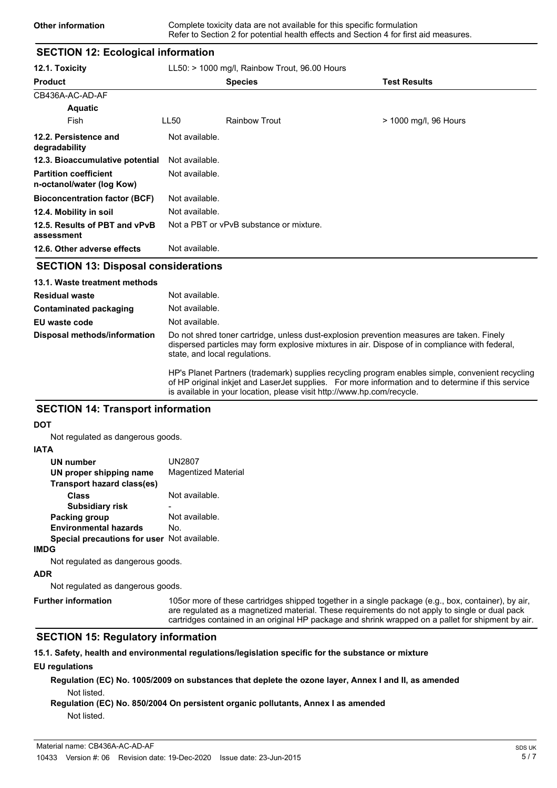### **SECTION 12: Ecological information**

| 12.1. Toxicity                                            | $LL50:$ > 1000 mg/l, Rainbow Trout, 96.00 Hours |                                         |                       |
|-----------------------------------------------------------|-------------------------------------------------|-----------------------------------------|-----------------------|
| <b>Product</b>                                            |                                                 | <b>Species</b>                          | <b>Test Results</b>   |
| CB436A-AC-AD-AF                                           |                                                 |                                         |                       |
| <b>Aquatic</b>                                            |                                                 |                                         |                       |
| Fish                                                      | LL50                                            | <b>Rainbow Trout</b>                    | > 1000 mg/l, 96 Hours |
| 12.2. Persistence and<br>degradability                    | Not available.                                  |                                         |                       |
| 12.3. Bioaccumulative potential                           | Not available.                                  |                                         |                       |
| <b>Partition coefficient</b><br>n-octanol/water (log Kow) | Not available.                                  |                                         |                       |
| <b>Bioconcentration factor (BCF)</b>                      | Not available.                                  |                                         |                       |
| 12.4. Mobility in soil                                    | Not available.                                  |                                         |                       |
| 12.5. Results of PBT and vPvB<br>assessment               |                                                 | Not a PBT or vPvB substance or mixture. |                       |
| 12.6. Other adverse effects                               | Not available.                                  |                                         |                       |

#### **SECTION 13: Disposal considerations**

| 13.1. Waste treatment methods |                                                                                                                                                                                                                              |
|-------------------------------|------------------------------------------------------------------------------------------------------------------------------------------------------------------------------------------------------------------------------|
| <b>Residual waste</b>         | Not available.                                                                                                                                                                                                               |
| Contaminated packaging        | Not available.                                                                                                                                                                                                               |
| EU waste code                 | Not available.                                                                                                                                                                                                               |
| Disposal methods/information  | Do not shred toner cartridge, unless dust-explosion prevention measures are taken. Finely<br>dispersed particles may form explosive mixtures in air. Dispose of in compliance with federal,<br>state, and local regulations. |
|                               | HP's Planet Partners (trademark) supplies recycling program enables simple, convenient recycling                                                                                                                             |

of HP original inkjet and LaserJet supplies. For more information and to determine if this service is available in your location, please visit http://www.hp.com/recycle.

### **SECTION 14: Transport information**

#### **DOT**

Not regulated as dangerous goods.

#### **IATA**

| UN2807<br><b>Magentized Material</b>        |
|---------------------------------------------|
|                                             |
| Not available.                              |
|                                             |
| Not available.                              |
| No.                                         |
| Special precautions for user Not available. |
|                                             |
|                                             |

Not regulated as dangerous goods.

### **ADR**

Not regulated as dangerous goods.

**Further information**

105or more of these cartridges shipped together in a single package (e.g., box, container), by air, are regulated as a magnetized material. These requirements do not apply to single or dual pack cartridges contained in an original HP package and shrink wrapped on a pallet for shipment by air.

#### **SECTION 15: Regulatory information**

**15.1. Safety, health and environmental regulations/legislation specific for the substance or mixture**

#### **EU regulations**

**Regulation (EC) No. 1005/2009 on substances that deplete the ozone layer, Annex I and II, as amended** Not listed.

### **Regulation (EC) No. 850/2004 On persistent organic pollutants, Annex I as amended** Not listed.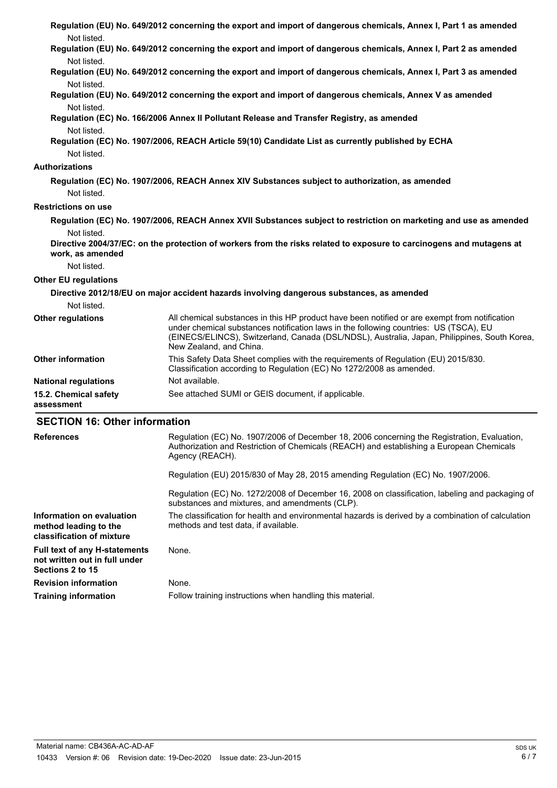| Not listed.                                        | Regulation (EU) No. 649/2012 concerning the export and import of dangerous chemicals, Annex I, Part 1 as amended                                                                                                                                                                                                  |
|----------------------------------------------------|-------------------------------------------------------------------------------------------------------------------------------------------------------------------------------------------------------------------------------------------------------------------------------------------------------------------|
| Not listed.                                        | Regulation (EU) No. 649/2012 concerning the export and import of dangerous chemicals, Annex I, Part 2 as amended                                                                                                                                                                                                  |
| Not listed.                                        | Regulation (EU) No. 649/2012 concerning the export and import of dangerous chemicals, Annex I, Part 3 as amended                                                                                                                                                                                                  |
| Not listed.                                        | Regulation (EU) No. 649/2012 concerning the export and import of dangerous chemicals, Annex V as amended                                                                                                                                                                                                          |
|                                                    | Regulation (EC) No. 166/2006 Annex II Pollutant Release and Transfer Registry, as amended                                                                                                                                                                                                                         |
| Not listed.<br>Not listed.                         | Regulation (EC) No. 1907/2006, REACH Article 59(10) Candidate List as currently published by ECHA                                                                                                                                                                                                                 |
| Authorizations                                     |                                                                                                                                                                                                                                                                                                                   |
| Not listed.                                        | Regulation (EC) No. 1907/2006, REACH Annex XIV Substances subject to authorization, as amended                                                                                                                                                                                                                    |
| <b>Restrictions on use</b>                         |                                                                                                                                                                                                                                                                                                                   |
|                                                    | Regulation (EC) No. 1907/2006, REACH Annex XVII Substances subject to restriction on marketing and use as amended                                                                                                                                                                                                 |
| Not listed.                                        |                                                                                                                                                                                                                                                                                                                   |
| work, as amended                                   | Directive 2004/37/EC: on the protection of workers from the risks related to exposure to carcinogens and mutagens at                                                                                                                                                                                              |
| Not listed.                                        |                                                                                                                                                                                                                                                                                                                   |
| <b>Other EU regulations</b>                        |                                                                                                                                                                                                                                                                                                                   |
|                                                    | Directive 2012/18/EU on major accident hazards involving dangerous substances, as amended                                                                                                                                                                                                                         |
| Not listed.                                        |                                                                                                                                                                                                                                                                                                                   |
| <b>Other regulations</b>                           | All chemical substances in this HP product have been notified or are exempt from notification<br>under chemical substances notification laws in the following countries: US (TSCA), EU<br>(EINECS/ELINCS), Switzerland, Canada (DSL/NDSL), Australia, Japan, Philippines, South Korea,<br>New Zealand, and China. |
| <b>Other information</b>                           | This Safety Data Sheet complies with the requirements of Regulation (EU) 2015/830.<br>Classification according to Regulation (EC) No 1272/2008 as amended.                                                                                                                                                        |
| <b>National regulations</b>                        | Not available.                                                                                                                                                                                                                                                                                                    |
| 15.2. Chemical safety<br>assessment                | See attached SUMI or GEIS document, if applicable.                                                                                                                                                                                                                                                                |
| <b>SECTION 16: Other information</b>               |                                                                                                                                                                                                                                                                                                                   |
| <b>References</b>                                  | Regulation (EC) No. 1907/2006 of December 18, 2006 concerning the Registration, Evaluation,<br>Authorization and Restriction of Chemicals (REACH) and establishing a European Chemicals<br>Agency (REACH).                                                                                                        |
|                                                    | Regulation (EU) 2015/830 of May 28, 2015 amending Regulation (EC) No. 1907/2006.                                                                                                                                                                                                                                  |
|                                                    | Regulation (EC) No. 1272/2008 of December 16, 2008 on classification, labeling and packaging of<br>substances and mixtures, and amendments (CLP).                                                                                                                                                                 |
| Information on evaluation<br>method leading to the | The classification for health and environmental hazards is derived by a combination of calculation<br>methods and test data, if available.                                                                                                                                                                        |

**classification of mixture Full text of any H-statements** None. **not written out in full under Sections 2 to 15 Revision information** None.

**Training information** Follow training instructions when handling this material.